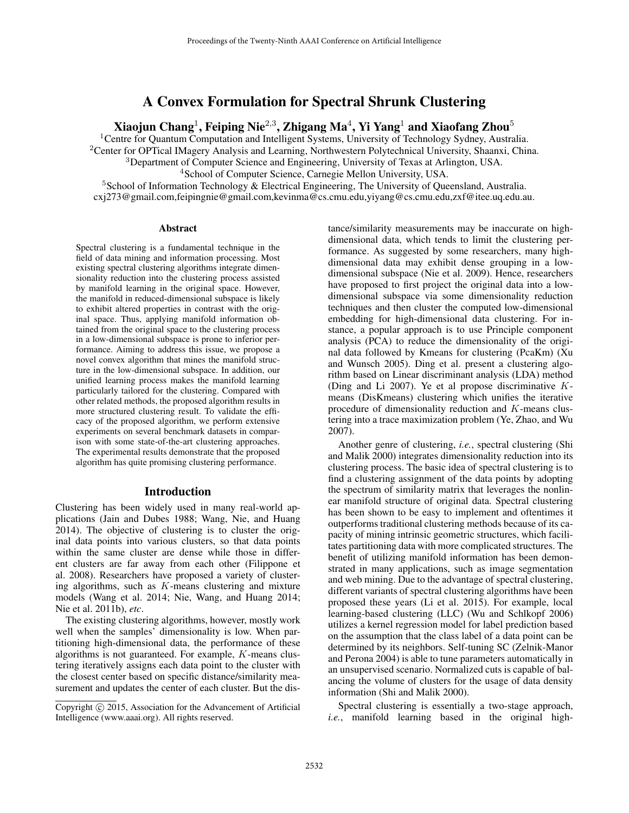# A Convex Formulation for Spectral Shrunk Clustering

Xiaojun Chang $^1$ , Feiping Nie $^{2,3}$ , Zhigang Ma $^4$ , Yi Yang $^1$  and Xiaofang Zhou $^5$ 

<sup>1</sup>Centre for Quantum Computation and Intelligent Systems, University of Technology Sydney, Australia.

<sup>2</sup>Center for OPTical IMagery Analysis and Learning, Northwestern Polytechnical University, Shaanxi, China.

<sup>3</sup>Department of Computer Science and Engineering, University of Texas at Arlington, USA.

<sup>4</sup>School of Computer Science, Carnegie Mellon University, USA.

<sup>5</sup>School of Information Technology & Electrical Engineering, The University of Queensland, Australia. cxj273@gmail.com,feipingnie@gmail.com,kevinma@cs.cmu.edu,yiyang@cs.cmu.edu,zxf@itee.uq.edu.au.

#### Abstract

Spectral clustering is a fundamental technique in the field of data mining and information processing. Most existing spectral clustering algorithms integrate dimensionality reduction into the clustering process assisted by manifold learning in the original space. However, the manifold in reduced-dimensional subspace is likely to exhibit altered properties in contrast with the original space. Thus, applying manifold information obtained from the original space to the clustering process in a low-dimensional subspace is prone to inferior performance. Aiming to address this issue, we propose a novel convex algorithm that mines the manifold structure in the low-dimensional subspace. In addition, our unified learning process makes the manifold learning particularly tailored for the clustering. Compared with other related methods, the proposed algorithm results in more structured clustering result. To validate the efficacy of the proposed algorithm, we perform extensive experiments on several benchmark datasets in comparison with some state-of-the-art clustering approaches. The experimental results demonstrate that the proposed algorithm has quite promising clustering performance.

### Introduction

Clustering has been widely used in many real-world applications (Jain and Dubes 1988; Wang, Nie, and Huang 2014). The objective of clustering is to cluster the original data points into various clusters, so that data points within the same cluster are dense while those in different clusters are far away from each other (Filippone et al. 2008). Researchers have proposed a variety of clustering algorithms, such as  $K$ -means clustering and mixture models (Wang et al. 2014; Nie, Wang, and Huang 2014; Nie et al. 2011b), *etc*.

The existing clustering algorithms, however, mostly work well when the samples' dimensionality is low. When partitioning high-dimensional data, the performance of these algorithms is not guaranteed. For example, K-means clustering iteratively assigns each data point to the cluster with the closest center based on specific distance/similarity measurement and updates the center of each cluster. But the distance/similarity measurements may be inaccurate on highdimensional data, which tends to limit the clustering performance. As suggested by some researchers, many highdimensional data may exhibit dense grouping in a lowdimensional subspace (Nie et al. 2009). Hence, researchers have proposed to first project the original data into a lowdimensional subspace via some dimensionality reduction techniques and then cluster the computed low-dimensional embedding for high-dimensional data clustering. For instance, a popular approach is to use Principle component analysis (PCA) to reduce the dimensionality of the original data followed by Kmeans for clustering (PcaKm) (Xu and Wunsch 2005). Ding et al. present a clustering algorithm based on Linear discriminant analysis (LDA) method (Ding and Li 2007). Ye et al propose discriminative Kmeans (DisKmeans) clustering which unifies the iterative procedure of dimensionality reduction and K-means clustering into a trace maximization problem (Ye, Zhao, and Wu 2007).

Another genre of clustering, *i.e.*, spectral clustering (Shi and Malik 2000) integrates dimensionality reduction into its clustering process. The basic idea of spectral clustering is to find a clustering assignment of the data points by adopting the spectrum of similarity matrix that leverages the nonlinear manifold structure of original data. Spectral clustering has been shown to be easy to implement and oftentimes it outperforms traditional clustering methods because of its capacity of mining intrinsic geometric structures, which facilitates partitioning data with more complicated structures. The benefit of utilizing manifold information has been demonstrated in many applications, such as image segmentation and web mining. Due to the advantage of spectral clustering, different variants of spectral clustering algorithms have been proposed these years (Li et al. 2015). For example, local learning-based clustering (LLC) (Wu and Schlkopf 2006) utilizes a kernel regression model for label prediction based on the assumption that the class label of a data point can be determined by its neighbors. Self-tuning SC (Zelnik-Manor and Perona 2004) is able to tune parameters automatically in an unsupervised scenario. Normalized cuts is capable of balancing the volume of clusters for the usage of data density information (Shi and Malik 2000).

Spectral clustering is essentially a two-stage approach, *i.e.*, manifold learning based in the original high-

Copyright (c) 2015, Association for the Advancement of Artificial Intelligence (www.aaai.org). All rights reserved.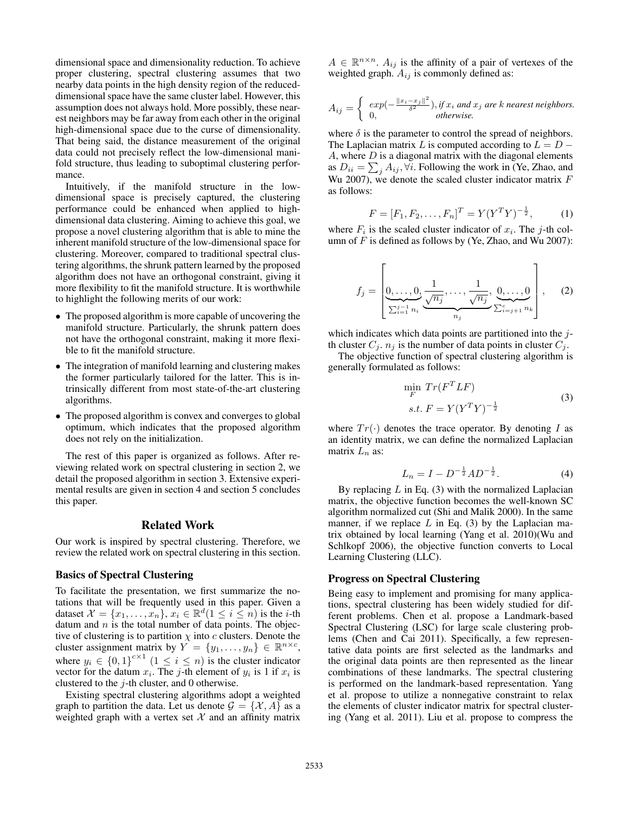dimensional space and dimensionality reduction. To achieve proper clustering, spectral clustering assumes that two nearby data points in the high density region of the reduceddimensional space have the same cluster label. However, this assumption does not always hold. More possibly, these nearest neighbors may be far away from each other in the original high-dimensional space due to the curse of dimensionality. That being said, the distance measurement of the original data could not precisely reflect the low-dimensional manifold structure, thus leading to suboptimal clustering performance.

Intuitively, if the manifold structure in the lowdimensional space is precisely captured, the clustering performance could be enhanced when applied to highdimensional data clustering. Aiming to achieve this goal, we propose a novel clustering algorithm that is able to mine the inherent manifold structure of the low-dimensional space for clustering. Moreover, compared to traditional spectral clustering algorithms, the shrunk pattern learned by the proposed algorithm does not have an orthogonal constraint, giving it more flexibility to fit the manifold structure. It is worthwhile to highlight the following merits of our work:

- The proposed algorithm is more capable of uncovering the manifold structure. Particularly, the shrunk pattern does not have the orthogonal constraint, making it more flexible to fit the manifold structure.
- The integration of manifold learning and clustering makes the former particularly tailored for the latter. This is intrinsically different from most state-of-the-art clustering algorithms.
- The proposed algorithm is convex and converges to global optimum, which indicates that the proposed algorithm does not rely on the initialization.

The rest of this paper is organized as follows. After reviewing related work on spectral clustering in section 2, we detail the proposed algorithm in section 3. Extensive experimental results are given in section 4 and section 5 concludes this paper.

# Related Work

Our work is inspired by spectral clustering. Therefore, we review the related work on spectral clustering in this section.

# Basics of Spectral Clustering

To facilitate the presentation, we first summarize the notations that will be frequently used in this paper. Given a dataset  $\mathcal{X} = \{x_1, \ldots, x_n\}, x_i \in \mathbb{R}^d (1 \leq i \leq n)$  is the *i*-th datum and  $n$  is the total number of data points. The objective of clustering is to partition  $\chi$  into c clusters. Denote the cluster assignment matrix by  $\hat{Y} = \{y_1, \ldots, y_n\} \in \mathbb{R}^{n \times c}$ , where  $y_i \in \{0,1\}^{c \times 1}$   $(1 \le i \le n)$  is the cluster indicator vector for the datum  $x_i$ . The j-th element of  $y_i$  is 1 if  $x_i$  is clustered to the  $j$ -th cluster, and 0 otherwise.

Existing spectral clustering algorithms adopt a weighted graph to partition the data. Let us denote  $\mathcal{G} = \{X, A\}$  as a weighted graph with a vertex set  $X$  and an affinity matrix

 $A \in \mathbb{R}^{n \times n}$ .  $A_{ij}$  is the affinity of a pair of vertexes of the weighted graph.  $A_{ij}$  is commonly defined as:

$$
A_{ij} = \begin{cases} exp(-\frac{\|x_i - x_j\|^2}{\delta^2}), & \text{if } x_i \text{ and } x_j \text{ are } k \text{ nearest neighbors.} \\ 0, & \text{otherwise.} \end{cases}
$$

where  $\delta$  is the parameter to control the spread of neighbors. The Laplacian matrix L is computed according to  $L = D A$ , where  $D$  is a diagonal matrix with the diagonal elements as  $D_{ii} = \sum_j A_{ij}$ ,  $\forall i$ . Following the work in (Ye, Zhao, and Wu 2007), we denote the scaled cluster indicator matrix  $F$ as follows:

$$
F = [F_1, F_2, \dots, F_n]^T = Y(Y^T Y)^{-\frac{1}{2}}, \quad (1)
$$

where  $F_i$  is the scaled cluster indicator of  $x_i$ . The j-th column of  $F$  is defined as follows by (Ye, Zhao, and Wu 2007):

$$
f_j = \left[ \underbrace{0, \dots, 0}_{\sum_{i=1}^{j-1} n_i}, \underbrace{1, \dots, \frac{1}{\sqrt{n_j}}, \underbrace{0, \dots, 0}_{\sum_{i=j+1}^{c} n_k}} \right], \quad (2)
$$

which indicates which data points are partitioned into the jth cluster  $C_j$ .  $n_j$  is the number of data points in cluster  $C_j$ .

The objective function of spectral clustering algorithm is generally formulated as follows:

$$
\min_{F} Tr(F^T L F)
$$
  
s.t.  $F = Y(Y^T Y)^{-\frac{1}{2}}$  (3)

where  $Tr(\cdot)$  denotes the trace operator. By denoting I as an identity matrix, we can define the normalized Laplacian matrix  $L_n$  as:

$$
L_n = I - D^{-\frac{1}{2}} A D^{-\frac{1}{2}}.
$$
 (4)

By replacing  $L$  in Eq. (3) with the normalized Laplacian matrix, the objective function becomes the well-known SC algorithm normalized cut (Shi and Malik 2000). In the same manner, if we replace  $L$  in Eq. (3) by the Laplacian matrix obtained by local learning (Yang et al. 2010)(Wu and Schlkopf 2006), the objective function converts to Local Learning Clustering (LLC).

### Progress on Spectral Clustering

Being easy to implement and promising for many applications, spectral clustering has been widely studied for different problems. Chen et al. propose a Landmark-based Spectral Clustering (LSC) for large scale clustering problems (Chen and Cai 2011). Specifically, a few representative data points are first selected as the landmarks and the original data points are then represented as the linear combinations of these landmarks. The spectral clustering is performed on the landmark-based representation. Yang et al. propose to utilize a nonnegative constraint to relax the elements of cluster indicator matrix for spectral clustering (Yang et al. 2011). Liu et al. propose to compress the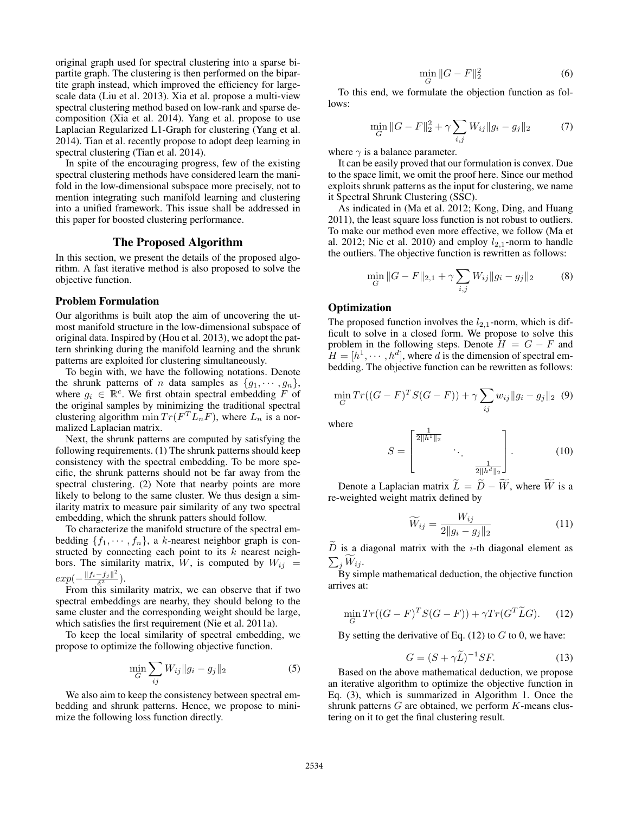original graph used for spectral clustering into a sparse bipartite graph. The clustering is then performed on the bipartite graph instead, which improved the efficiency for largescale data (Liu et al. 2013). Xia et al. propose a multi-view spectral clustering method based on low-rank and sparse decomposition (Xia et al. 2014). Yang et al. propose to use Laplacian Regularized L1-Graph for clustering (Yang et al. 2014). Tian et al. recently propose to adopt deep learning in spectral clustering (Tian et al. 2014).

In spite of the encouraging progress, few of the existing spectral clustering methods have considered learn the manifold in the low-dimensional subspace more precisely, not to mention integrating such manifold learning and clustering into a unified framework. This issue shall be addressed in this paper for boosted clustering performance.

### The Proposed Algorithm

In this section, we present the details of the proposed algorithm. A fast iterative method is also proposed to solve the objective function.

#### Problem Formulation

Our algorithms is built atop the aim of uncovering the utmost manifold structure in the low-dimensional subspace of original data. Inspired by (Hou et al. 2013), we adopt the pattern shrinking during the manifold learning and the shrunk patterns are exploited for clustering simultaneously.

To begin with, we have the following notations. Denote the shrunk patterns of *n* data samples as  $\{g_1, \dots, g_n\}$ , where  $g_i \in \mathbb{R}^c$ . We first obtain spectral embedding F of the original samples by minimizing the traditional spectral clustering algorithm  $\min Tr(F^T L_n F)$ , where  $L_n$  is a normalized Laplacian matrix.

Next, the shrunk patterns are computed by satisfying the following requirements. (1) The shrunk patterns should keep consistency with the spectral embedding. To be more specific, the shrunk patterns should not be far away from the spectral clustering. (2) Note that nearby points are more likely to belong to the same cluster. We thus design a similarity matrix to measure pair similarity of any two spectral embedding, which the shrunk patters should follow.

To characterize the manifold structure of the spectral embedding  $\{f_1, \dots, f_n\}$ , a k-nearest neighbor graph is constructed by connecting each point to its  $k$  nearest neighbors. The similarity matrix, W, is computed by  $W_{ij}$  =  $exp(-\frac{||f_i - f_j||^2}{\delta^2})$  $\frac{-J_j||}{\delta^2}$ ).

From this similarity matrix, we can observe that if two spectral embeddings are nearby, they should belong to the same cluster and the corresponding weight should be large, which satisfies the first requirement (Nie et al. 2011a).

To keep the local similarity of spectral embedding, we propose to optimize the following objective function.

$$
\min_{G} \sum_{ij} W_{ij} \|g_i - g_j\|_2 \tag{5}
$$

We also aim to keep the consistency between spectral embedding and shrunk patterns. Hence, we propose to minimize the following loss function directly.

$$
\min_{G} \|G - F\|_{2}^{2} \tag{6}
$$

To this end, we formulate the objection function as follows:

$$
\min_{G} \|G - F\|_2^2 + \gamma \sum_{i,j} W_{ij} \|g_i - g_j\|_2 \tag{7}
$$

where  $\gamma$  is a balance parameter.

It can be easily proved that our formulation is convex. Due to the space limit, we omit the proof here. Since our method exploits shrunk patterns as the input for clustering, we name it Spectral Shrunk Clustering (SSC).

As indicated in (Ma et al. 2012; Kong, Ding, and Huang 2011), the least square loss function is not robust to outliers. To make our method even more effective, we follow (Ma et al. 2012; Nie et al. 2010) and employ  $l_{2,1}$ -norm to handle the outliers. The objective function is rewritten as follows:

$$
\min_{G} \|G - F\|_{2,1} + \gamma \sum_{i,j} W_{ij} \|g_i - g_j\|_2 \tag{8}
$$

### **Optimization**

The proposed function involves the  $l_{2,1}$ -norm, which is difficult to solve in a closed form. We propose to solve this problem in the following steps. Denote  $H = G - F$  and  $H = [h^1, \dots, h^d]$ , where d is the dimension of spectral embedding. The objective function can be rewritten as follows:

$$
\min_{G} Tr((G - F)^{T} S(G - F)) + \gamma \sum_{ij} w_{ij} \|g_i - g_j\|_2 \tag{9}
$$

where

$$
S = \begin{bmatrix} \frac{1}{2||h^1||_2} & & \\ & \ddots & \\ & & \frac{1}{2||h^d||_2} \end{bmatrix} .
$$
 (10)

Denote a Laplacian matrix  $\widetilde{L} = \widetilde{D} - \widetilde{W}$ , where  $\widetilde{W}$  is a re-weighted weight matrix defined by

$$
\widetilde{W}_{ij} = \frac{W_{ij}}{2||g_i - g_j||_2} \tag{11}
$$

 $\tilde{D}$  is a diagonal matrix with the *i*-th diagonal element as  $\sum_j W_{ij}$ .

By simple mathematical deduction, the objective function arrives at:

$$
\min_{G} Tr((G - F)^{T}S(G - F)) + \gamma Tr(G^{T}\widetilde{L}G). \tag{12}
$$

By setting the derivative of Eq.  $(12)$  to G to 0, we have:

$$
G = (S + \gamma \widetilde{L})^{-1} SF.
$$
 (13)

Based on the above mathematical deduction, we propose an iterative algorithm to optimize the objective function in Eq. (3), which is summarized in Algorithm 1. Once the shrunk patterns  $G$  are obtained, we perform  $K$ -means clustering on it to get the final clustering result.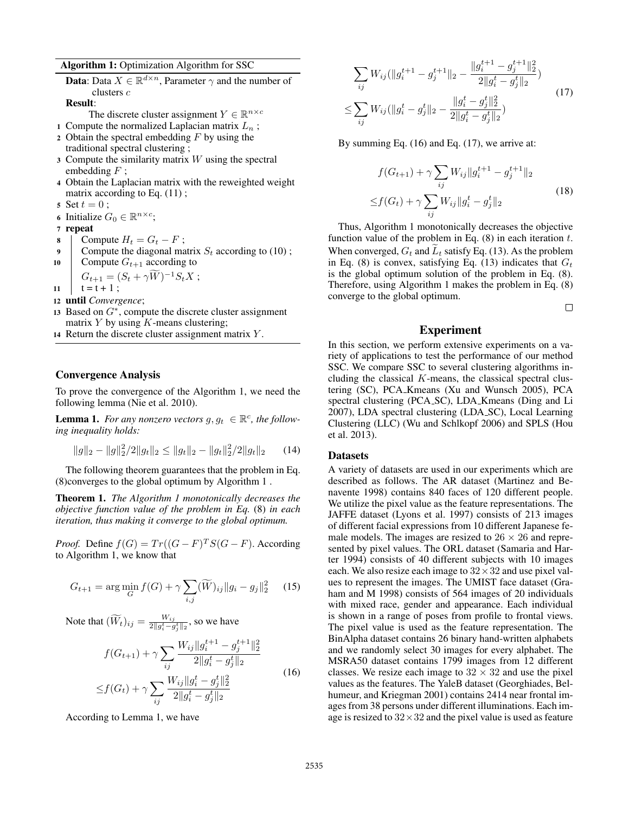Algorithm 1: Optimization Algorithm for SSC

**Data**: Data  $X \in \mathbb{R}^{d \times n}$ , Parameter  $\gamma$  and the number of clusters c

Result:

The discrete cluster assignment  $Y \in \mathbb{R}^{n \times c}$ 

- 1 Compute the normalized Laplacian matrix  $L_n$ ;
- 2 Obtain the spectral embedding  $F$  by using the traditional spectral clustering ;
- $\alpha$  3 Compute the similarity matrix W using the spectral embedding  $F$ ;
- <sup>4</sup> Obtain the Laplacian matrix with the reweighted weight matrix according to Eq.  $(11)$ ;
- 5 Set  $t = 0$ ; 6 Initialize  $G_0 \in \mathbb{R}^{n \times c}$ ;
- <sup>7</sup> repeat

8 Compute  $H_t = G_t - F$ ;

- 9 Compute the diagonal matrix  $S_t$  according to (10);
- 10 Compute  $G_{t+1}$  according to

 $G_{t+1} = (S_t + \gamma \tilde{W})^{-1} S_t X;$ 

 $11$   $t = t + 1$ ;

- <sup>12</sup> until *Convergence*;
- 13 Based on  $G^*$ , compute the discrete cluster assignment matrix  $Y$  by using  $K$ -means clustering;
- 14 Return the discrete cluster assignment matrix  $Y$ .

### Convergence Analysis

To prove the convergence of the Algorithm 1, we need the following lemma (Nie et al. 2010).

**Lemma 1.** For any nonzero vectors  $g, g_t \in \mathbb{R}^c$ , the follow*ing inequality holds:*

$$
||g||_2 - ||g||_2^2/2||g_t||_2 \le ||g_t||_2 - ||g_t||_2^2/2||g_t||_2 \qquad (14)
$$

The following theorem guarantees that the problem in Eq. (8)converges to the global optimum by Algorithm 1 .

Theorem 1. *The Algorithm 1 monotonically decreases the objective function value of the problem in Eq.* (8) *in each iteration, thus making it converge to the global optimum.*

*Proof.* Define  $f(G) = Tr((G - F)^{T}S(G - F))$ . According to Algorithm 1, we know that

$$
G_{t+1} = \arg\min_{G} f(G) + \gamma \sum_{i,j} (\widetilde{W})_{ij} \|g_i - g_j\|_2^2 \quad (15)
$$

Note that  $(\widetilde{W}_t)_{ij} = \frac{W_{ij}}{2||g_i^t - g_j||}$  $\frac{W_{ij}}{2\|g_i^t - g_j^t\|_2}$ , so we have

$$
f(G_{t+1}) + \gamma \sum_{ij} \frac{W_{ij} \|g_i^{t+1} - g_j^{t+1}\|_2^2}{2\|g_i^t - g_j^t\|_2}
$$
  

$$
\leq f(G_t) + \gamma \sum_{ij} \frac{W_{ij} \|g_i^t - g_j^t\|_2^2}{2\|g_i^t - g_j^t\|_2}
$$
(16)

According to Lemma 1, we have

$$
\sum_{ij} W_{ij} (\|g_i^{t+1} - g_j^{t+1}\|_2 - \frac{\|g_i^{t+1} - g_j^{t+1}\|_2^2}{2\|g_i^t - g_j^t\|_2})
$$
\n
$$
\leq \sum_{ij} W_{ij} (\|g_i^t - g_j^t\|_2 - \frac{\|g_i^t - g_j^t\|_2^2}{2\|g_i^t - g_j^t\|_2})
$$
\n(17)

By summing Eq. (16) and Eq. (17), we arrive at:

$$
f(G_{t+1}) + \gamma \sum_{ij} W_{ij} ||g_i^{t+1} - g_j^{t+1}||_2
$$
  

$$
\leq f(G_t) + \gamma \sum_{ij} W_{ij} ||g_i^t - g_j^t||_2
$$
 (18)

Thus, Algorithm 1 monotonically decreases the objective function value of the problem in Eq.  $(8)$  in each iteration t. When converged,  $G_t$  and  $L_t$  satisfy Eq. (13). As the problem in Eq. (8) is convex, satisfying Eq. (13) indicates that  $G_t$ is the global optimum solution of the problem in Eq. (8). Therefore, using Algorithm 1 makes the problem in Eq. (8) converge to the global optimum.

 $\Box$ 

# Experiment

In this section, we perform extensive experiments on a variety of applications to test the performance of our method SSC. We compare SSC to several clustering algorithms including the classical  $K$ -means, the classical spectral clustering (SC), PCA Kmeans (Xu and Wunsch 2005), PCA spectral clustering (PCA SC), LDA Kmeans (Ding and Li 2007), LDA spectral clustering (LDA SC), Local Learning Clustering (LLC) (Wu and Schlkopf 2006) and SPLS (Hou et al. 2013).

### **Datasets**

A variety of datasets are used in our experiments which are described as follows. The AR dataset (Martinez and Benavente 1998) contains 840 faces of 120 different people. We utilize the pixel value as the feature representations. The JAFFE dataset (Lyons et al. 1997) consists of 213 images of different facial expressions from 10 different Japanese female models. The images are resized to  $26 \times 26$  and represented by pixel values. The ORL dataset (Samaria and Harter 1994) consists of 40 different subjects with 10 images each. We also resize each image to  $32 \times 32$  and use pixel values to represent the images. The UMIST face dataset (Graham and M 1998) consists of 564 images of 20 individuals with mixed race, gender and appearance. Each individual is shown in a range of poses from profile to frontal views. The pixel value is used as the feature representation. The BinAlpha dataset contains 26 binary hand-written alphabets and we randomly select 30 images for every alphabet. The MSRA50 dataset contains 1799 images from 12 different classes. We resize each image to  $32 \times 32$  and use the pixel values as the features. The YaleB dataset (Georghiades, Belhumeur, and Kriegman 2001) contains 2414 near frontal images from 38 persons under different illuminations. Each image is resized to  $32 \times 32$  and the pixel value is used as feature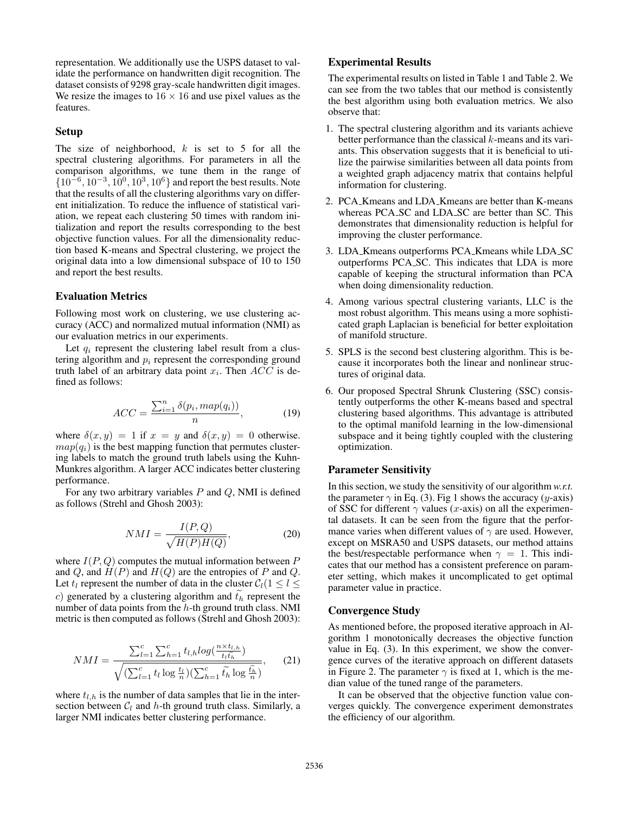representation. We additionally use the USPS dataset to validate the performance on handwritten digit recognition. The dataset consists of 9298 gray-scale handwritten digit images. We resize the images to  $16 \times 16$  and use pixel values as the features.

### Setup

The size of neighborhood,  $k$  is set to 5 for all the spectral clustering algorithms. For parameters in all the comparison algorithms, we tune them in the range of  $\{10^{-6}, 10^{-3}, 10^{0}, 10^{3}, 10^{6}\}$  and report the best results. Note that the results of all the clustering algorithms vary on different initialization. To reduce the influence of statistical variation, we repeat each clustering 50 times with random initialization and report the results corresponding to the best objective function values. For all the dimensionality reduction based K-means and Spectral clustering, we project the original data into a low dimensional subspace of 10 to 150 and report the best results.

### Evaluation Metrics

Following most work on clustering, we use clustering accuracy (ACC) and normalized mutual information (NMI) as our evaluation metrics in our experiments.

Let  $q_i$  represent the clustering label result from a clustering algorithm and  $p_i$  represent the corresponding ground truth label of an arbitrary data point  $x_i$ . Then  $ACC$  is defined as follows:

$$
ACC = \frac{\sum_{i=1}^{n} \delta(p_i, map(q_i))}{n},\tag{19}
$$

where  $\delta(x, y) = 1$  if  $x = y$  and  $\delta(x, y) = 0$  otherwise.  $map(q_i)$  is the best mapping function that permutes clustering labels to match the ground truth labels using the Kuhn-Munkres algorithm. A larger ACC indicates better clustering performance.

For any two arbitrary variables  $P$  and  $Q$ , NMI is defined as follows (Strehl and Ghosh 2003):

$$
NMI = \frac{I(P,Q)}{\sqrt{H(P)H(Q)}},\tag{20}
$$

where  $I(P,Q)$  computes the mutual information between P and Q, and  $H(P)$  and  $H(Q)$  are the entropies of P and Q. Let  $t_l$  represent the number of data in the cluster  $C_l(1 \leq l \leq l)$ c) generated by a clustering algorithm and  $t<sub>h</sub>$  represent the number of data points from the  $h$ -th ground truth class. NMI metric is then computed as follows (Strehl and Ghosh 2003):

$$
NMI = \frac{\sum_{l=1}^{c} \sum_{h=1}^{c} t_{l,h} log(\frac{n \times t_{l,h}}{t_l t_h})}{\sqrt{(\sum_{l=1}^{c} t_l \log \frac{t_l}{n})(\sum_{h=1}^{c} \tilde{t_h} \log \frac{\tilde{t_h}}{n})}},\qquad(21)
$$

where  $t_{l,h}$  is the number of data samples that lie in the intersection between  $C_l$  and h-th ground truth class. Similarly, a larger NMI indicates better clustering performance.

# Experimental Results

The experimental results on listed in Table 1 and Table 2. We can see from the two tables that our method is consistently the best algorithm using both evaluation metrics. We also observe that:

- 1. The spectral clustering algorithm and its variants achieve better performance than the classical  $k$ -means and its variants. This observation suggests that it is beneficial to utilize the pairwise similarities between all data points from a weighted graph adjacency matrix that contains helpful information for clustering.
- 2. PCA Kmeans and LDA Kmeans are better than K-means whereas PCA SC and LDA SC are better than SC. This demonstrates that dimensionality reduction is helpful for improving the cluster performance.
- 3. LDA Kmeans outperforms PCA Kmeans while LDA SC outperforms PCA SC. This indicates that LDA is more capable of keeping the structural information than PCA when doing dimensionality reduction.
- 4. Among various spectral clustering variants, LLC is the most robust algorithm. This means using a more sophisticated graph Laplacian is beneficial for better exploitation of manifold structure.
- 5. SPLS is the second best clustering algorithm. This is because it incorporates both the linear and nonlinear structures of original data.
- 6. Our proposed Spectral Shrunk Clustering (SSC) consistently outperforms the other K-means based and spectral clustering based algorithms. This advantage is attributed to the optimal manifold learning in the low-dimensional subspace and it being tightly coupled with the clustering optimization.

### Parameter Sensitivity

In this section, we study the sensitivity of our algorithm *w.r.t.* the parameter  $\gamma$  in Eq. (3). Fig 1 shows the accuracy (y-axis) of SSC for different  $\gamma$  values (x-axis) on all the experimental datasets. It can be seen from the figure that the performance varies when different values of  $\gamma$  are used. However, except on MSRA50 and USPS datasets, our method attains the best/respectable performance when  $\gamma = 1$ . This indicates that our method has a consistent preference on parameter setting, which makes it uncomplicated to get optimal parameter value in practice.

### Convergence Study

As mentioned before, the proposed iterative approach in Algorithm 1 monotonically decreases the objective function value in Eq. (3). In this experiment, we show the convergence curves of the iterative approach on different datasets in Figure 2. The parameter  $\gamma$  is fixed at 1, which is the median value of the tuned range of the parameters.

It can be observed that the objective function value converges quickly. The convergence experiment demonstrates the efficiency of our algorithm.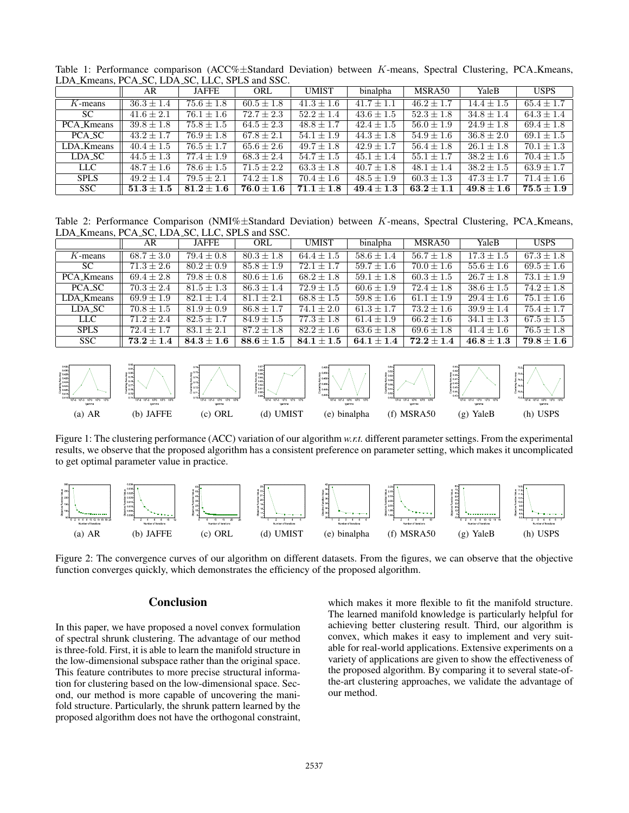|                        | AR                               | <b>JAFFE</b>   | ORL            | <b>UMIST</b>   | binalpha       | MSRA50                | YaleB          | <b>USPS</b>    |
|------------------------|----------------------------------|----------------|----------------|----------------|----------------|-----------------------|----------------|----------------|
| $K$ -means             | $36.3 \pm 1.4$                   | $75.6 \pm 1.8$ | $60.5 \pm 1.8$ | $41.3 \pm 1.6$ | $41.7 \pm 1.1$ | $\sqrt{46.2} \pm 1.7$ | $14.4 \pm 1.5$ | $65.4 \pm 1.7$ |
| SC.                    | $41.6 \pm 2.1$                   | $76.1 \pm 1.6$ | $72.7 \pm 2.3$ | $52.2 \pm 1.4$ | $43.6 \pm 1.5$ | $52.3 \pm 1.8$        | $34.8 \pm 1.4$ | $64.3 \pm 1.4$ |
| PCA_K <sub>means</sub> | $39.8 \pm 1.8$                   | $75.8 \pm 1.5$ | $64.5 \pm 2.3$ | $48.8 \pm 1.7$ | $42.4 \pm 1.5$ | $56.0 \pm 1.9$        | $24.9 \pm 1.8$ | $69.4 \pm 1.8$ |
| PCA_SC                 | $43.2 \pm 1.7$                   | $76.9 \pm 1.8$ | $67.8 \pm 2.1$ | $54.1 \pm 1.9$ | $44.3 \pm 1.8$ | $54.9 \pm 1.6$        | $36.8 \pm 2.0$ | $69.1 \pm 1.5$ |
| LDA_Kmeans             | $40.4 \pm 1.5$                   | $76.5 \pm 1.7$ | $65.6 \pm 2.6$ | $49.7 \pm 1.8$ | $42.9 \pm 1.7$ | $56.4 \pm 1.8$        | $26.1 \pm 1.8$ | $70.1 \pm 1.3$ |
| LDA_SC                 | $44.5 \pm 1.3$                   | $77.4 \pm 1.9$ | $68.3 \pm 2.4$ | $54.7 \pm 1.5$ | $45.1 \pm 1.4$ | $55.1 \pm 1.7$        | $38.2 \pm 1.6$ | $70.4 \pm 1.5$ |
| LLC                    | $48.7 \pm 1.6$                   | $78.6 \pm 1.5$ | $71.5 \pm 2.2$ | $63.3 \pm 1.8$ | $40.7 \pm 1.8$ | $48.1 + 1.4$          | $38.2 \pm 1.5$ | $63.9 \pm 1.7$ |
| <b>SPLS</b>            | $49.2 \pm 1.4$                   | $79.5 \pm 2.1$ | $74.2 \pm 1.8$ | $70.4 \pm 1.6$ | $48.5 \pm 1.9$ | $60.3 \pm 1.3$        | $47.3 \pm 1.7$ | $71.4 \pm 1.6$ |
| <b>SSC</b>             | $\textbf{51.3} \pm \textbf{1.5}$ | $81.2 + 1.6$   | $76.0 \pm 1.6$ | $71.1 + 1.8$   | $49.4 \pm 1.3$ | $63.2 + 1.1$          | $49.8 \pm 1.6$ | $75.5 \pm 1.9$ |

Table 1: Performance comparison (ACC%±Standard Deviation) between K-means, Spectral Clustering, PCA Kmeans, LDA Kmeans, PCA SC, LDA SC, LLC, SPLS and SSC.

Table 2: Performance Comparison (NMI% $\pm$ Standard Deviation) between K-means, Spectral Clustering, PCA Kmeans, LDA Kmeans, PCA SC, LDA SC, LLC, SPLS and SSC.

|             | AR             | <b>JAFFE</b>   | ORL            | <b>UMIST</b>   | binalpha       | MSRA50         | YaleB          | <b>USPS</b>    |
|-------------|----------------|----------------|----------------|----------------|----------------|----------------|----------------|----------------|
| $K$ -means  | $68.7 \pm 3.0$ | $79.4 \pm 0.8$ | $80.3 \pm 1.8$ | $64.4 \pm 1.5$ | $58.6 \pm 1.4$ | $56.7 \pm 1.8$ | $17.3 \pm 1.5$ | $67.3 \pm 1.8$ |
| SC.         | $71.3 \pm 2.6$ | $80.2 \pm 0.9$ | $85.8 \pm 1.9$ | $72.1 \pm 1.7$ | $59.7 \pm 1.6$ | $70.0 \pm 1.6$ | $55.6 \pm 1.6$ | $69.5 \pm 1.6$ |
| PCA_Kmeans  | $69.4 \pm 2.8$ | $79.8 \pm 0.8$ | $80.6 \pm 1.6$ | $68.2 \pm 1.8$ | $59.1 \pm 1.8$ | $60.3 \pm 1.5$ | $26.7 \pm 1.8$ | $73.1 \pm 1.9$ |
| PCA_SC      | $70.3 \pm 2.4$ | $81.5 \pm 1.3$ | $86.3 \pm 1.4$ | $72.9 \pm 1.5$ | $60.6 \pm 1.9$ | $72.4 \pm 1.8$ | $38.6 \pm 1.5$ | $74.2 + 1.8$   |
| LDA_Kmeans  | $69.9 \pm 1.9$ | $82.1 \pm 1.4$ | $81.1 \pm 2.1$ | $68.8 \pm 1.5$ | $59.8 \pm 1.6$ | $61.1 \pm 1.9$ | $29.4 \pm 1.6$ | $75.1 \pm 1.6$ |
| LDA_SC      | $70.8 \pm 1.5$ | $81.9 \pm 0.9$ | $86.8 \pm 1.7$ | $74.1 \pm 2.0$ | $61.3 \pm 1.7$ | $73.2 \pm 1.6$ | $39.9 \pm 1.4$ | $75.4 \pm 1.7$ |
| <b>LLC</b>  | $71.2 + 2.4$   | $82.5 \pm 1.7$ | $84.9 \pm 1.5$ | $77.3 \pm 1.8$ | $61.4 + 1.9$   | $66.2 + 1.6$   | $34.1 \pm 1.3$ | $67.5 \pm 1.5$ |
| <b>SPLS</b> | $72.4 + 1.7$   | $83.1 \pm 2.1$ | $87.2 \pm 1.8$ | $82.2 \pm 1.6$ | $63.6 \pm 1.8$ | $69.6 \pm 1.8$ | $41.4 \pm 1.6$ | $76.5 \pm 1.8$ |
| SSC.        | $73.2 \pm 1.4$ | $84.3 + 1.6$   | $88.6 \pm 1.5$ | $84.1 \pm 1.5$ | $64.1 \pm 1.4$ | $72.2 + 1.4$   | $46.8 \pm 1.3$ | $79.8 \pm 1.6$ |



Figure 1: The clustering performance (ACC) variation of our algorithm *w.r.t.* different parameter settings. From the experimental results, we observe that the proposed algorithm has a consistent preference on parameter setting, which makes it uncomplicated to get optimal parameter value in practice.



Figure 2: The convergence curves of our algorithm on different datasets. From the figures, we can observe that the objective function converges quickly, which demonstrates the efficiency of the proposed algorithm.

# Conclusion

In this paper, we have proposed a novel convex formulation of spectral shrunk clustering. The advantage of our method is three-fold. First, it is able to learn the manifold structure in the low-dimensional subspace rather than the original space. This feature contributes to more precise structural information for clustering based on the low-dimensional space. Second, our method is more capable of uncovering the manifold structure. Particularly, the shrunk pattern learned by the proposed algorithm does not have the orthogonal constraint,

which makes it more flexible to fit the manifold structure. The learned manifold knowledge is particularly helpful for achieving better clustering result. Third, our algorithm is convex, which makes it easy to implement and very suitable for real-world applications. Extensive experiments on a variety of applications are given to show the effectiveness of the proposed algorithm. By comparing it to several state-ofthe-art clustering approaches, we validate the advantage of our method.